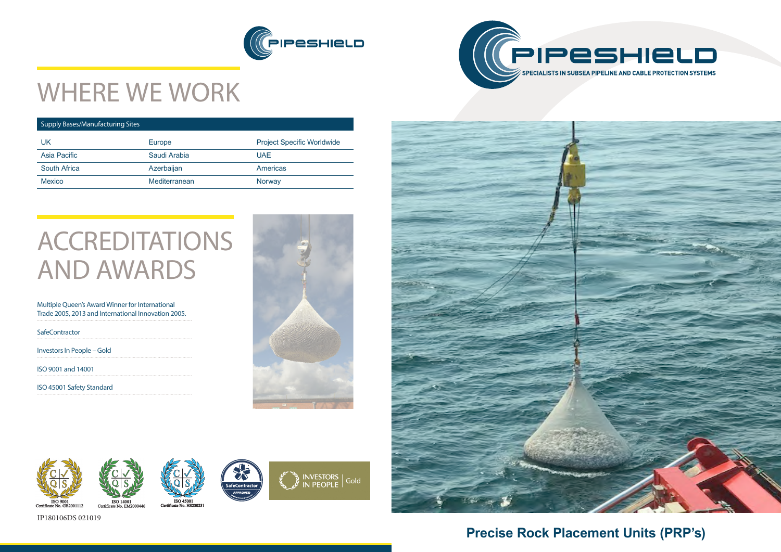



## WHERE WE WORK









ISO 14001<br>icate No. EM2000446



## **Precise Rock Placement Units (PRP's)**

### Supply Bases/Manufacturing Sites

# **ACCREDITATIONS** AND AWARDS

| UK                  | Europe        | <b>Project Specific Worldwide</b> |  |
|---------------------|---------------|-----------------------------------|--|
| Asia Pacific        | Saudi Arabia  | UAE.                              |  |
| <b>South Africa</b> | Azerbaijan    | <b>Americas</b>                   |  |
| <b>Mexico</b>       | Mediterranean | Norway                            |  |
|                     |               |                                   |  |

Multiple Queen's Award Winner for International Trade 2005, 2013 and International Innovation 2005.

**SafeContractor** 

Investors In People – Gold

ISO 9001 and 14001

ISO 45001 Safety Standard





### IP180106DS 021019